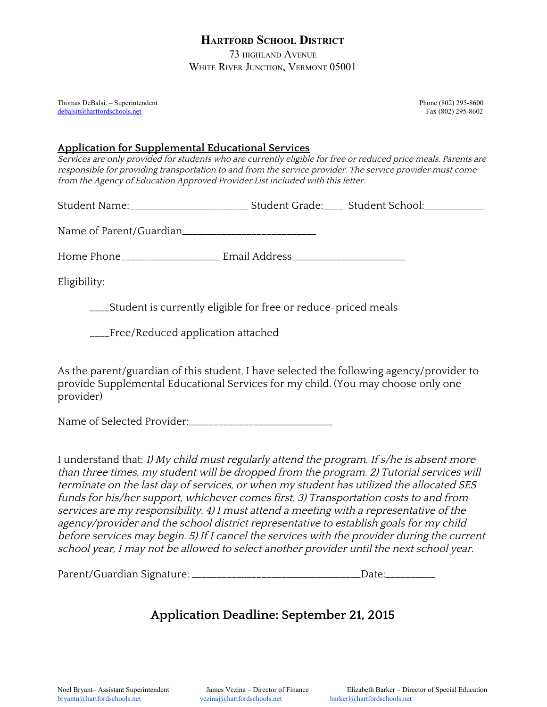## **HARTFORD SCHOOL DISTRICT**

73 HIGHLAND AVENUE WHITE RIVER JUNCTION, VERMONT 05001

Thomas DeBalsi. – Superintendent Phone (802) 295-8600 [debalsit@hartfordschools.net](mailto:debalsit@hartfordschools.net) Fax (802) 295-8602

## **Application for Supplemental Educational Services**

Services are only provided for students who are currently eligible for free or reduced price meals. Parents are responsible for providing transportation to and from the service provider. The service provider must come from the Agency of Education Approved Provider List included with this letter.

Student Name:\_\_\_\_\_\_\_\_\_\_\_\_\_\_\_\_\_\_\_\_\_\_\_\_ Student Grade:\_\_\_\_ Student School:\_\_\_\_\_\_\_\_\_\_\_\_

Name of Parent/Guardian\_\_\_\_\_\_\_\_\_\_\_\_\_\_\_\_\_\_\_\_\_\_\_\_\_\_\_

Home Phone\_\_\_\_\_\_\_\_\_\_\_\_\_\_\_\_\_\_\_\_ Email Address\_\_\_\_\_\_\_\_\_\_\_\_\_\_\_\_\_\_\_\_\_\_\_

Eligibility:

\_\_\_\_Student is currently eligible for free or reduce-priced meals

\_\_\_\_Free/Reduced application attached

As the parent/guardian of this student, I have selected the following agency/provider to provide Supplemental Educational Services for my child. (You may choose only one provider)

Name of Selected Provider:\_\_\_\_\_\_\_\_\_\_\_\_\_\_\_\_\_\_\_\_\_\_\_\_\_\_\_\_\_

I understand that: 1) My child must regularly attend the program. If s/he is absent more than three times, my student will be dropped from the program. 2) Tutorial services will terminate on the last day of services, or when my student has utilized the allocated SES funds for his/her support, whichever comes first. 3) Transportation costs to and from services are my responsibility. 4) <sup>I</sup> must attend <sup>a</sup> meeting with <sup>a</sup> representative of the agency/provider and the school district representative to establish goals for my child before services may begin. 5) If <sup>I</sup> cancel the services with the provider during the current school year, <sup>I</sup> may not be allowed to select another provider until the next school year.

Parent/Guardian Signature: \_\_\_\_\_\_\_\_\_\_\_\_\_\_\_\_\_\_\_\_\_\_\_\_\_\_\_\_\_\_\_\_\_\_Date:\_\_\_\_\_\_\_\_\_\_

## **Application Deadline: September 21, 2015**